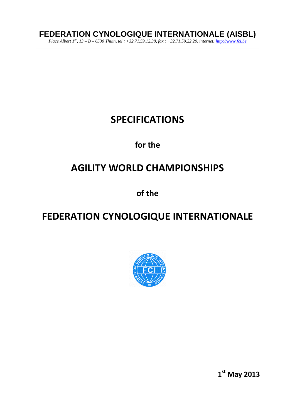# **FEDERATION CYNOLOGIQUE INTERNATIONALE (AISBL)**

*Place Albert 1er, 13 – B – 6530 Thuin, tel : +32.71.59.12.38, fax : +32.71.59.22.29, internet: http://www.fci.be \_\_\_\_\_\_\_\_\_\_\_\_\_\_\_\_\_\_\_\_\_\_\_\_\_\_\_\_\_\_\_\_\_\_\_\_\_\_\_\_\_\_\_\_\_\_\_\_\_\_\_\_\_\_\_\_\_\_\_\_\_\_\_\_\_\_\_\_\_\_\_\_\_\_\_\_\_\_\_\_\_\_\_\_\_\_\_\_\_\_\_\_\_\_\_\_\_\_\_\_* 

# **SPECIFICATIONS**

# **for the**

# **AGILITY WORLD CHAMPIONSHIPS**

**of the** 

# **FEDERATION CYNOLOGIQUE INTERNATIONALE**



**1 st May 2013**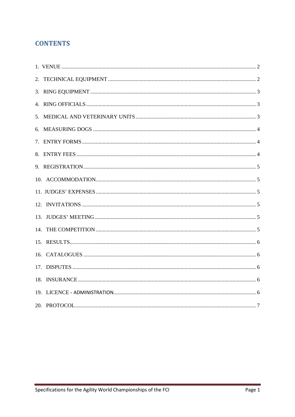## **CONTENTS**

| 17. |  |
|-----|--|
| 18. |  |
|     |  |
|     |  |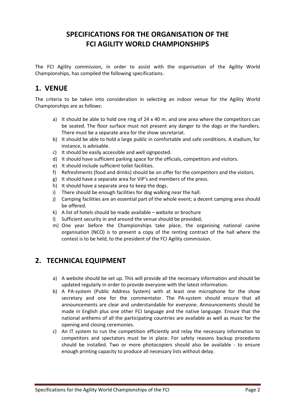# **SPECIFICATIONS FOR THE ORGANISATION OF THE FCI AGILITY WORLD CHAMPIONSHIPS**

The FCI Agility commission, in order to assist with the organisation of the Agility World Championships, has compiled the following specifications.

#### **1. VENUE**

The criteria to be taken into consideration in selecting an indoor venue for the Agility World Championships are as follows:

- a) It should be able to hold one ring of 24 x 40 m. and one area where the competitors can be seated. The floor surface must not present any danger to the dogs or the handlers. There must be a separate area for the show secretariat.
- b) It should be able to hold a large public in comfortable and safe conditions. A stadium, for instance, is advisable.
- c) It should be easily accessible and well signposted.
- d) It should have sufficient parking space for the officials, competitors and visitors.
- e) It should include sufficient toilet facilities.
- f) Refreshments (food and drinks) should be on offer for the competitors and the visitors.
- g) It should have a separate area for VIP's and members of the press.
- h) It should have a separate area to keep the dogs.
- i) There should be enough facilities for dog walking near the hall.
- j) Camping facilities are an essential part of the whole event; a decent camping area should be offered.
- k) A list of hotels should be made available website or brochure
- l) Sufficient security in and around the venue should be provided**.**
- m) One year before the Championships take place, the organising national canine organisation (NCO) is to present a copy of the renting contract of the hall where the contest is to be held, to the president of the FCI Agility commission.

# **2. TECHNICAL EQUIPMENT**

- a) A website should be set up. This will provide all the necessary information and should be updated regularly in order to provide everyone with the latest information.
- b) A PA-system (Public Address System) with at least one microphone for the show secretary and one for the commentator. The PA-system should ensure that all announcements are clear and understandable for everyone. Announcements should be made in English plus one other FCI language and the native language. Ensure that the national anthems of all the participating countries are available as well as music for the opening and closing ceremonies.
- c) An IT system to run the competition efficiently and relay the necessary information to competitors and spectators must be in place. For safety reasons backup procedures should be installed. Two or more photocopiers should also be available - to ensure enough printing capacity to produce all necessary lists without delay.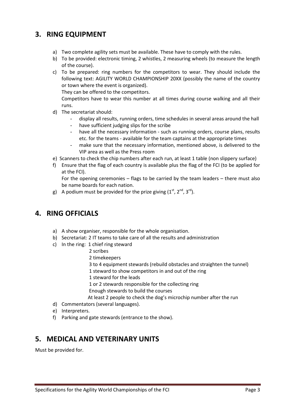# **3. RING EQUIPMENT**

- a) Two complete agility sets must be available. These have to comply with the rules.
- b) To be provided: electronic timing, 2 whistles, 2 measuring wheels (to measure the length of the course).
- c) To be prepared: ring numbers for the competitors to wear. They should include the following text: AGILITY WORLD CHAMPIONSHIP 20XX (possibly the name of the country or town where the event is organized).

They can be offered to the competitors.

Competitors have to wear this number at all times during course walking and all their runs.

- d) The secretariat should:
	- display all results, running orders, time schedules in several areas around the hall
	- have sufficient judging slips for the scribe
	- have all the necessary information such as running orders, course plans, results etc. for the teams - available for the team captains at the appropriate times
	- make sure that the necessary information, mentioned above, is delivered to the VIP area as well as the Press room
- e) Scanners to check the chip numbers after each run, at least 1 table (non slippery surface)
- f) Ensure that the flag of each country is available plus the flag of the FCI (to be applied for at the FCI).

For the opening ceremonies – flags to be carried by the team leaders – there must also be name boards for each nation.

g) A podium must be provided for the prize giving  $(1^{st}, 2^{nd}, 3^{rd})$ .

#### **4. RING OFFICIALS**

- a) A show organiser, responsible for the whole organisation.
- b) Secretariat: 2 IT teams to take care of all the results and administration
- c) In the ring: 1 chief ring steward
	- 2 scribes
	- 2 timekeepers
	- 3 to 4 equipment stewards (rebuild obstacles and straighten the tunnel)
	- 1 steward to show competitors in and out of the ring
	- 1 steward for the leads

1 or 2 stewards responsible for the collecting ring

Enough stewards to build the courses

At least 2 people to check the dog's microchip number after the run

- d) Commentators (several languages).
- e) Interpreters.
- f) Parking and gate stewards (entrance to the show).

#### **5. MEDICAL AND VETERINARY UNITS**

Must be provided for.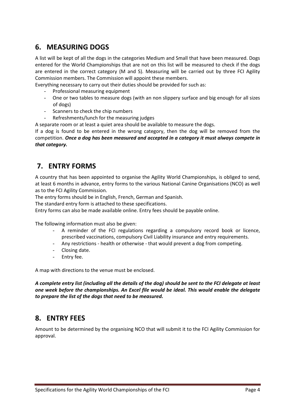# **6. MEASURING DOGS**

A list will be kept of all the dogs in the categories Medium and Small that have been measured. Dogs entered for the World Championships that are not on this list will be measured to check if the dogs are entered in the correct category (M and S). Measuring will be carried out by three FCI Agility Commission members. The Commission will appoint these members.

Everything necessary to carry out their duties should be provided for such as:

- Professional measuring equipment
- One or two tables to measure dogs (with an non slippery surface and big enough for all sizes of dogs)
- Scanners to check the chip numbers
- Refreshments/lunch for the measuring judges

A separate room or at least a quiet area should be available to measure the dogs.

If a dog is found to be entered in the wrong category, then the dog will be removed from the competition. *Once a dog has been measured and accepted in a category it must always compete in that category.* 

## **7. ENTRY FORMS**

A country that has been appointed to organise the Agility World Championships, is obliged to send, at least 6 months in advance, entry forms to the various National Canine Organisations (NCO) as well as to the FCI Agility Commission.

The entry forms should be in English, French, German and Spanish.

The standard entry form is attached to these specifications.

Entry forms can also be made available online. Entry fees should be payable online.

The following information must also be given:

- A reminder of the FCI regulations regarding a compulsory record book or licence, prescribed vaccinations, compulsory Civil Liability insurance and entry requirements.
- Any restrictions health or otherwise that would prevent a dog from competing.
- Closing date.
- Entry fee.

A map with directions to the venue must be enclosed.

*A complete entry list (including all the details of the dog) should be sent to the FCI delegate at least one week before the championships. An Excel file would be ideal. This would enable the delegate to prepare the list of the dogs that need to be measured.* 

#### **8. ENTRY FEES**

Amount to be determined by the organising NCO that will submit it to the FCI Agility Commission for approval.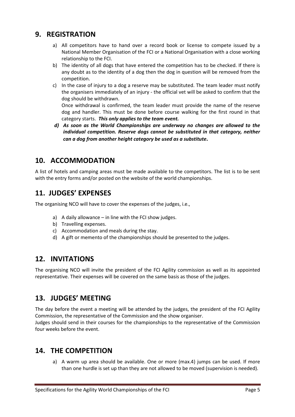#### **9. REGISTRATION**

- a) All competitors have to hand over a record book or license to compete issued by a National Member Organisation of the FCI or a National Organisation with a close working relationship to the FCI.
- b) The identity of all dogs that have entered the competition has to be checked. If there is any doubt as to the identity of a dog then the dog in question will be removed from the competition.
- c) In the case of injury to a dog a reserve may be substituted. The team leader must notify the organisers immediately of an injury - the official vet will be asked to confirm that the dog should be withdrawn.

Once withdrawal is confirmed, the team leader must provide the name of the reserve dog and handler. This must be done before course walking for the first round in that category starts. *This only applies to the team event.* 

*d) As soon as the World Championships are underway no changes are allowed to the individual competition. Reserve dogs cannot be substituted in that category, neither can a dog from another height category be used as a substitute***.**

## **10. ACCOMMODATION**

A list of hotels and camping areas must be made available to the competitors. The list is to be sent with the entry forms and/or posted on the website of the world championships.

### **11. JUDGES' EXPENSES**

The organising NCO will have to cover the expenses of the judges, i.e.,

- a) A daily allowance in line with the FCI show judges.
- b) Travelling expenses.
- c) Accommodation and meals during the stay.
- d) A gift or memento of the championships should be presented to the judges.

#### **12. INVITATIONS**

The organising NCO will invite the president of the FCI Agility commission as well as its appointed representative. Their expenses will be covered on the same basis as those of the judges.

#### **13. JUDGES' MEETING**

The day before the event a meeting will be attended by the judges, the president of the FCI Agility Commission, the representative of the Commission and the show organiser.

Judges should send in their courses for the championships to the representative of the Commission four weeks before the event.

#### **14. THE COMPETITION**

a) A warm up area should be available. One or more (max.4) jumps can be used. If more than one hurdle is set up than they are not allowed to be moved (supervision is needed).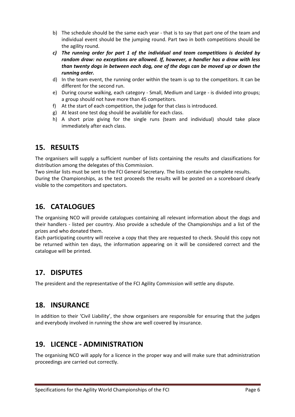- b) The schedule should be the same each year that is to say that part one of the team and individual event should be the jumping round. Part two in both competitions should be the agility round.
- *c) The running order for part 1 of the individual and team competitions is decided by random draw: no exceptions are allowed. If, however, a handler has a draw with less than twenty dogs in between each dog, one of the dogs can be moved up or down the running order.*
- d) In the team event, the running order within the team is up to the competitors. It can be different for the second run.
- e) During course walking, each category Small, Medium and Large is divided into groups; a group should not have more than 45 competitors.
- f) At the start of each competition, the judge for that class is introduced.
- g) At least one test dog should be available for each class.
- h) A short prize giving for the single runs (team and individual) should take place immediately after each class.

#### **15. RESULTS**

The organisers will supply a sufficient number of lists containing the results and classifications for distribution among the delegates of this Commission.

Two similar lists must be sent to the FCI General Secretary. The lists contain the complete results. During the Championships, as the test proceeds the results will be posted on a scoreboard clearly visible to the competitors and spectators.

# **16. CATALOGUES**

The organising NCO will provide catalogues containing all relevant information about the dogs and their handlers - listed per country. Also provide a schedule of the Championships and a list of the prizes and who donated them.

Each participating country will receive a copy that they are requested to check. Should this copy not be returned within ten days, the information appearing on it will be considered correct and the catalogue will be printed.

## **17. DISPUTES**

The president and the representative of the FCI Agility Commission will settle any dispute.

## **18. INSURANCE**

In addition to their 'Civil Liability', the show organisers are responsible for ensuring that the judges and everybody involved in running the show are well covered by insurance.

## **19. LICENCE - ADMINISTRATION**

The organising NCO will apply for a licence in the proper way and will make sure that administration proceedings are carried out correctly.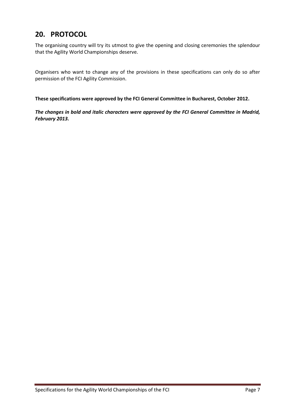# **20. PROTOCOL**

The organising country will try its utmost to give the opening and closing ceremonies the splendour that the Agility World Championships deserve.

Organisers who want to change any of the provisions in these specifications can only do so after permission of the FCI Agility Commission.

**These specifications were approved by the FCI General Committee in Bucharest, October 2012.** 

*The changes in bold and italic characters were approved by the FCI General Committee in Madrid, February 2013.*